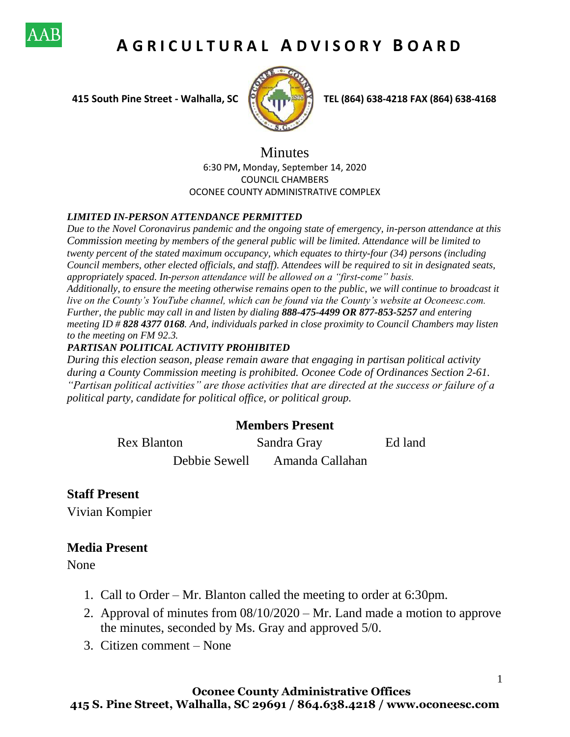

# **A G R I C U L T U R A L A D V I S O R Y B O A R D**



 **415 South Pine Street - Walhalla, SC TEL (864) 638-4218 FAX (864) 638-4168**

1

### Minutes 6:30 PM**,** Monday, September 14, 2020 COUNCIL CHAMBERS OCONEE COUNTY ADMINISTRATIVE COMPLEX

#### *LIMITED IN-PERSON ATTENDANCE PERMITTED*

*Due to the Novel Coronavirus pandemic and the ongoing state of emergency, in-person attendance at this Commission meeting by members of the general public will be limited. Attendance will be limited to twenty percent of the stated maximum occupancy, which equates to thirty-four (34) persons (including Council members, other elected officials, and staff). Attendees will be required to sit in designated seats, appropriately spaced. In-person attendance will be allowed on a "first-come" basis. Additionally, to ensure the meeting otherwise remains open to the public, we will continue to broadcast it live on the County's YouTube channel, which can be found via the County's website at Oconeesc.com. Further, the public may call in and listen by dialing 888-475-4499 OR 877-853-5257 and entering meeting ID # 828 4377 0168. And, individuals parked in close proximity to Council Chambers may listen to the meeting on FM 92.3.* 

#### *PARTISAN POLITICAL ACTIVITY PROHIBITED*

*During this election season, please remain aware that engaging in partisan political activity during a County Commission meeting is prohibited. Oconee Code of Ordinances Section 2-61. "Partisan political activities" are those activities that are directed at the success or failure of a political party, candidate for political office, or political group.*

## **Members Present**

Rex Blanton Sandra Gray Ed land Debbie Sewell Amanda Callahan

# **Staff Present**

Vivian Kompier

## **Media Present**

None

- 1. Call to Order Mr. Blanton called the meeting to order at 6:30pm.
- 2. Approval of minutes from 08/10/2020 Mr. Land made a motion to approve the minutes, seconded by Ms. Gray and approved 5/0.
- 3. Citizen comment None